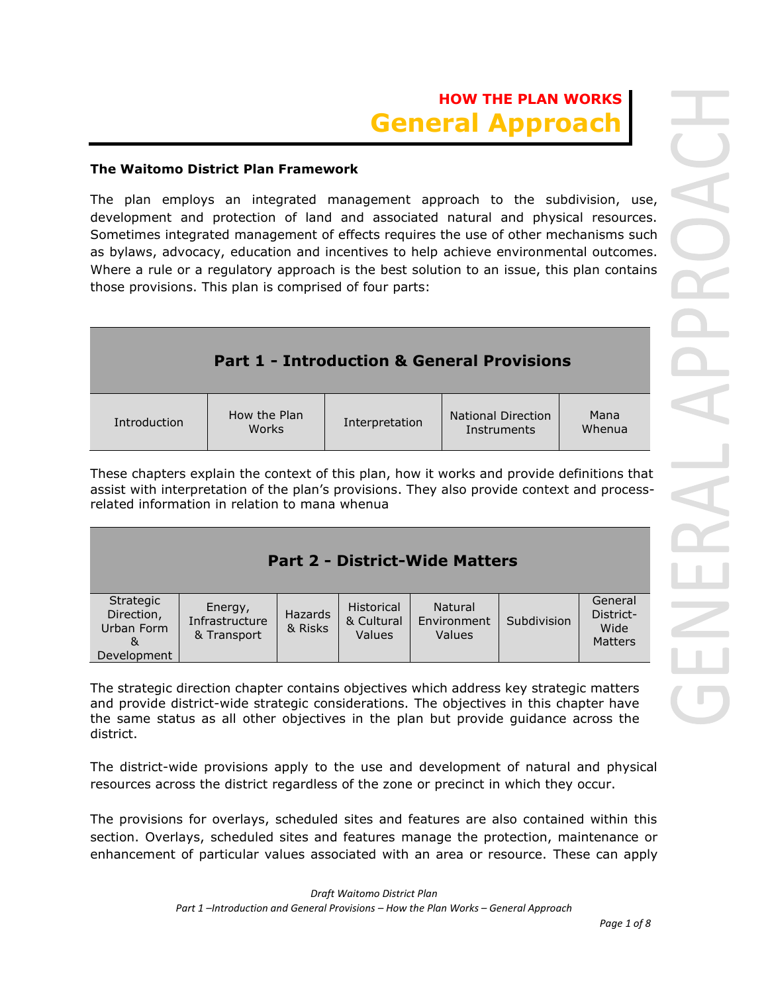#### **The Waitomo District Plan Framework**

The plan employs an integrated management approach to the subdivision, use, development and protection of land and associated natural and physical resources. Sometimes integrated management of effects requires the use of other mechanisms such as bylaws, advocacy, education and incentives to help achieve environmental outcomes. Where a rule or a regulatory approach is the best solution to an issue, this plan contains those provisions. This plan is comprised of four parts:

|              |                       |                | <b>Part 1 - Introduction &amp; General Provisions</b> |                |
|--------------|-----------------------|----------------|-------------------------------------------------------|----------------|
| Introduction | How the Plan<br>Works | Interpretation | <b>National Direction</b><br>Instruments              | Mana<br>Whenua |

These chapters explain the context of this plan, how it works and provide definitions that assist with interpretation of the plan's provisions. They also provide context and processrelated information in relation to mana whenua

| <b>Part 2 - District-Wide Matters</b>                     |                                          |                           |                                           |                                         |             |                                         |
|-----------------------------------------------------------|------------------------------------------|---------------------------|-------------------------------------------|-----------------------------------------|-------------|-----------------------------------------|
| Strategic<br>Direction,<br>Urban Form<br>&<br>Development | Energy,<br>Infrastructure<br>& Transport | <b>Hazards</b><br>& Risks | <b>Historical</b><br>& Cultural<br>Values | <b>Natural</b><br>Environment<br>Values | Subdivision | General<br>District-<br>Wide<br>Matters |

The strategic direction chapter contains objectives which address key strategic matters and provide district-wide strategic considerations. The objectives in this chapter have the same status as all other objectives in the plan but provide guidance across the district.

The district-wide provisions apply to the use and development of natural and physical resources across the district regardless of the zone or precinct in which they occur.

The provisions for overlays, scheduled sites and features are also contained within this section. Overlays, scheduled sites and features manage the protection, maintenance or enhancement of particular values associated with an area or resource. These can apply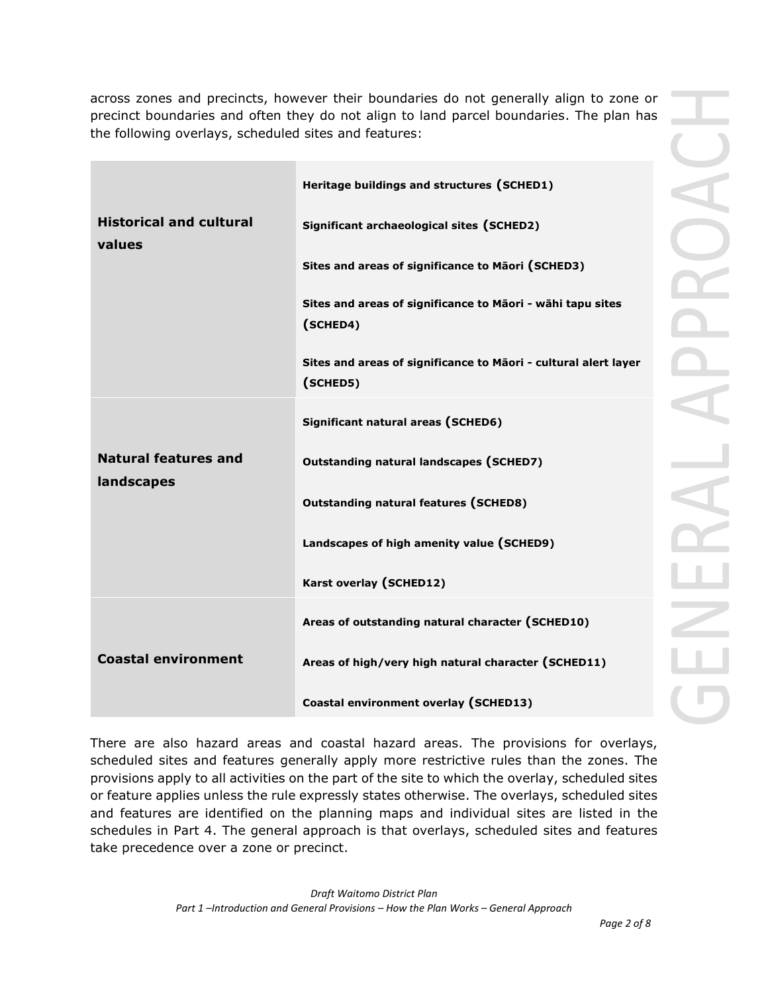across zones and precincts, however their boundaries do not generally align to zone or precinct boundaries and often they do not align to land parcel boundaries. The plan has the following overlays, scheduled sites and features:

|                                          | Heritage buildings and structures (SCHED1)                                  |  |
|------------------------------------------|-----------------------------------------------------------------------------|--|
| <b>Historical and cultural</b><br>values | Significant archaeological sites (SCHED2)                                   |  |
|                                          | Sites and areas of significance to Māori (SCHED3)                           |  |
|                                          | Sites and areas of significance to Māori - wāhi tapu sites<br>(SCHED4)      |  |
|                                          | Sites and areas of significance to Māori - cultural alert layer<br>(SCHED5) |  |
|                                          | Significant natural areas (SCHED6)                                          |  |
| <b>Natural features and</b>              | <b>Outstanding natural landscapes (SCHED7)</b>                              |  |
| landscapes                               | <b>Outstanding natural features (SCHED8)</b>                                |  |
|                                          | Landscapes of high amenity value (SCHED9)                                   |  |
|                                          | Karst overlay (SCHED12)                                                     |  |
|                                          | Areas of outstanding natural character (SCHED10)                            |  |
| <b>Coastal environment</b>               | Areas of high/very high natural character (SCHED11)                         |  |
|                                          | Coastal environment overlay (SCHED13)                                       |  |

There are also hazard areas and coastal hazard areas. The provisions for overlays, scheduled sites and features generally apply more restrictive rules than the zones. The provisions apply to all activities on the part of the site to which the overlay, scheduled sites or feature applies unless the rule expressly states otherwise. The overlays, scheduled sites and features are identified on the planning maps and individual sites are listed in the schedules in Part 4. The general approach is that overlays, scheduled sites and features take precedence over a zone or precinct.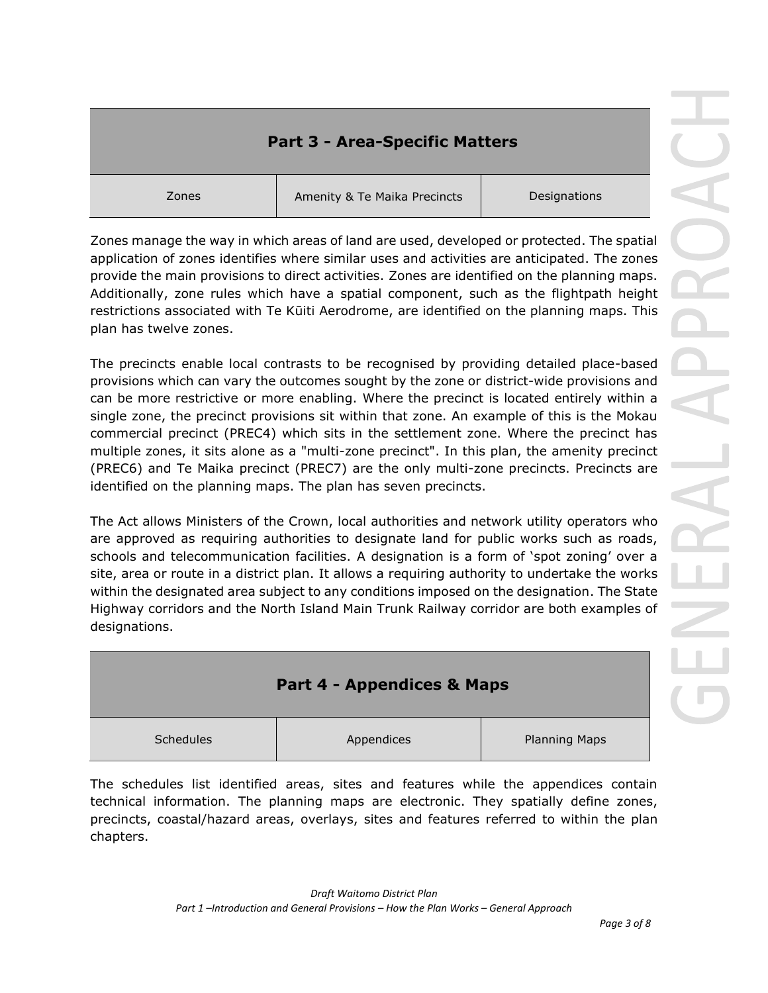# **Part 3 - Area-Specific Matters**

Zones Amenity & Te Maika Precincts Designations

Zones manage the way in which areas of land are used, developed or protected. The spatial application of zones identifies where similar uses and activities are anticipated. The zones provide the main provisions to direct activities. Zones are identified on the planning maps. Additionally, zone rules which have a spatial component, such as the flightpath height restrictions associated with Te Kūiti Aerodrome, are identified on the planning maps. This plan has twelve zones.

The precincts enable local contrasts to be recognised by providing detailed place-based provisions which can vary the outcomes sought by the zone or district-wide provisions and can be more restrictive or more enabling. Where the precinct is located entirely within a single zone, the precinct provisions sit within that zone. An example of this is the Mokau commercial precinct (PREC4) which sits in the settlement zone. Where the precinct has multiple zones, it sits alone as a "multi-zone precinct". In this plan, the amenity precinct (PREC6) and Te Maika precinct (PREC7) are the only multi-zone precincts. Precincts are identified on the planning maps. The plan has seven precincts.

The Act allows Ministers of the Crown, local authorities and network utility operators who are approved as requiring authorities to designate land for public works such as roads, schools and telecommunication facilities. A designation is a form of 'spot zoning' over a site, area or route in a district plan. It allows a requiring authority to undertake the works within the designated area subject to any conditions imposed on the designation. The State Highway corridors and the North Island Main Trunk Railway corridor are both examples of designations.

| <b>Part 4 - Appendices &amp; Maps</b> |            |                      |
|---------------------------------------|------------|----------------------|
| Schedules                             | Appendices | <b>Planning Maps</b> |

The schedules list identified areas, sites and features while the appendices contain technical information. The planning maps are electronic. They spatially define zones, precincts, coastal/hazard areas, overlays, sites and features referred to within the plan chapters.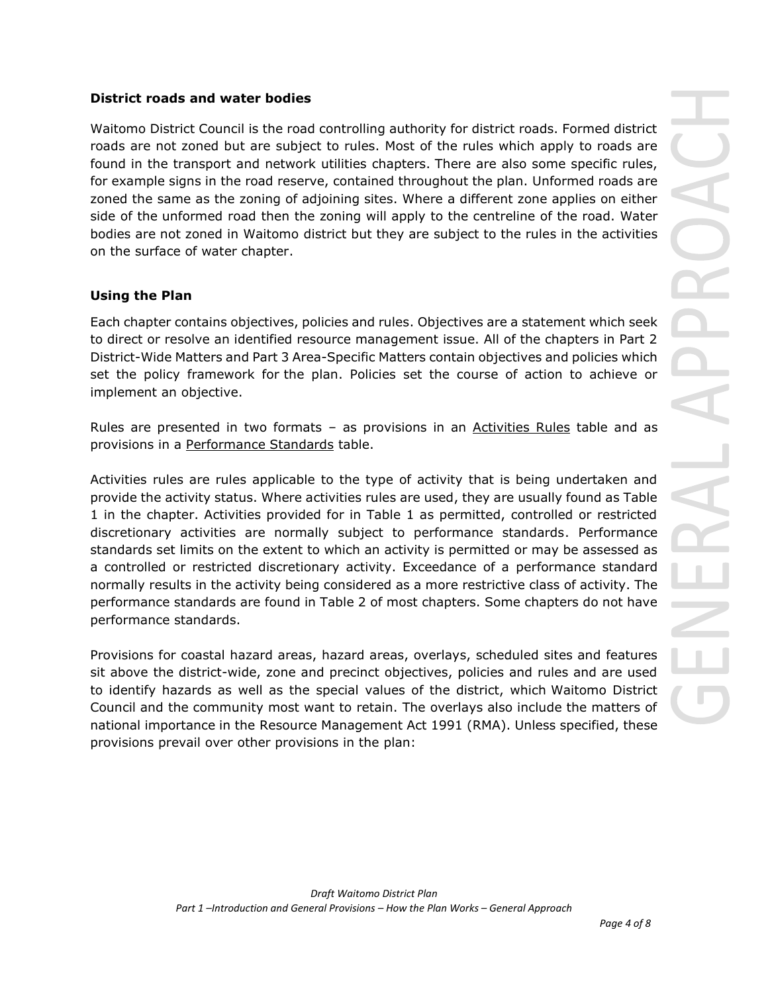#### **District roads and water bodies**

Waitomo District Council is the road controlling authority for district roads. Formed district roads are not zoned but are subject to rules. Most of the rules which apply to roads are found in the transport and network utilities chapters. There are also some specific rules, for example signs in the road reserve, contained throughout the plan. Unformed roads are zoned the same as the zoning of adjoining sites. Where a different zone applies on either side of the unformed road then the zoning will apply to the centreline of the road. Water bodies are not zoned in Waitomo district but they are subject to the rules in the activities on the surface of water chapter.

## **Using the Plan**

Each chapter contains objectives, policies and rules. Objectives are a statement which seek to direct or resolve an identified resource management issue. All of the chapters in Part 2 District-Wide Matters and Part 3 Area-Specific Matters contain objectives and policies which set the policy framework for [the plan.](https://eplan.tcdc.govt.nz/pages/plan/Book.aspx?exhibit=TCDC_Appeals2016_External) Policies set the course of action to achieve or implement an objective.

Rules are presented in two formats - as provisions in an Activities Rules table and as provisions in a Performance Standards table.

Activities rules are rules applicable to the type of activity that is being undertaken and provide the activity status. Where activities rules are used, they are usually found as Table 1 in the chapter. Activities provided for in Table 1 as permitted, controlled or restricted discretionary activities are normally subject to performance standards. Performance standards set limits on the extent to which an activity is permitted or may be assessed as a controlled or restricted discretionary activity. Exceedance of a performance standard normally results in the activity being considered as a more restrictive class of activity. The performance standards are found in Table 2 of most chapters. Some chapters do not have performance standards.

Provisions for coastal hazard areas, hazard areas, overlays, scheduled sites and features sit above the district-wide, zone and precinct objectives, policies and rules and are used to identify hazards as well as the special values of the district, which [Waitomo District](https://eplan.tcdc.govt.nz/pages/plan/Book.aspx?exhibit=TCDC_Appeals2016_External)  [Council](https://eplan.tcdc.govt.nz/pages/plan/Book.aspx?exhibit=TCDC_Appeals2016_External) and the community most want to retain. The overlays also include the matters of national importance in the Resource Management Act 1991 [\(RMA\)](https://eplan.tcdc.govt.nz/pages/plan/Book.aspx?exhibit=TCDC_Appeals2016_External). Unless specified, these provisions prevail over other provisions in the plan: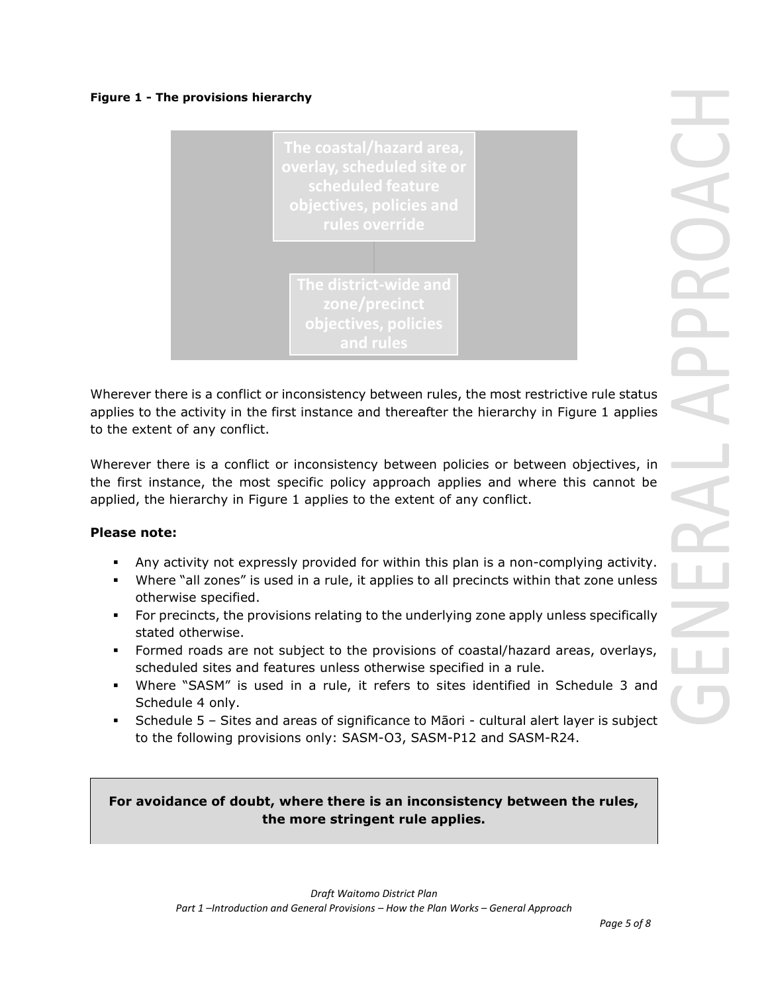#### **Figure 1 - The provisions hierarchy**



Wherever there is a conflict or inconsistency between rules, the most restrictive rule status applies to the activity in the first instance and thereafter the hierarchy in Figure 1 applies to the extent of any conflict.

Wherever there is a conflict or inconsistency between policies or between objectives, in the first instance, the most specific policy approach applies and where this cannot be applied, the hierarchy in Figure 1 applies to the extent of any conflict.

## **Please note:**

- Any activity not expressly provided for within this plan is a non-complying activity.
- Where "all zones" is used in a rule, it applies to all precincts within that zone unless otherwise specified.
- For precincts, the provisions relating to the underlying zone apply unless specifically stated otherwise.
- Formed roads are not subject to the provisions of coastal/hazard areas, overlays, scheduled sites and features unless otherwise specified in a rule.
- Where "SASM" is used in a rule, it refers to sites identified in Schedule 3 and Schedule 4 only.
- Schedule 5 Sites and areas of significance to Māori cultural alert layer is subject to the following provisions only: SASM-O3, SASM-P12 and SASM-R24.

**For avoidance of doubt, where there is an inconsistency between the rules, the more stringent rule applies.**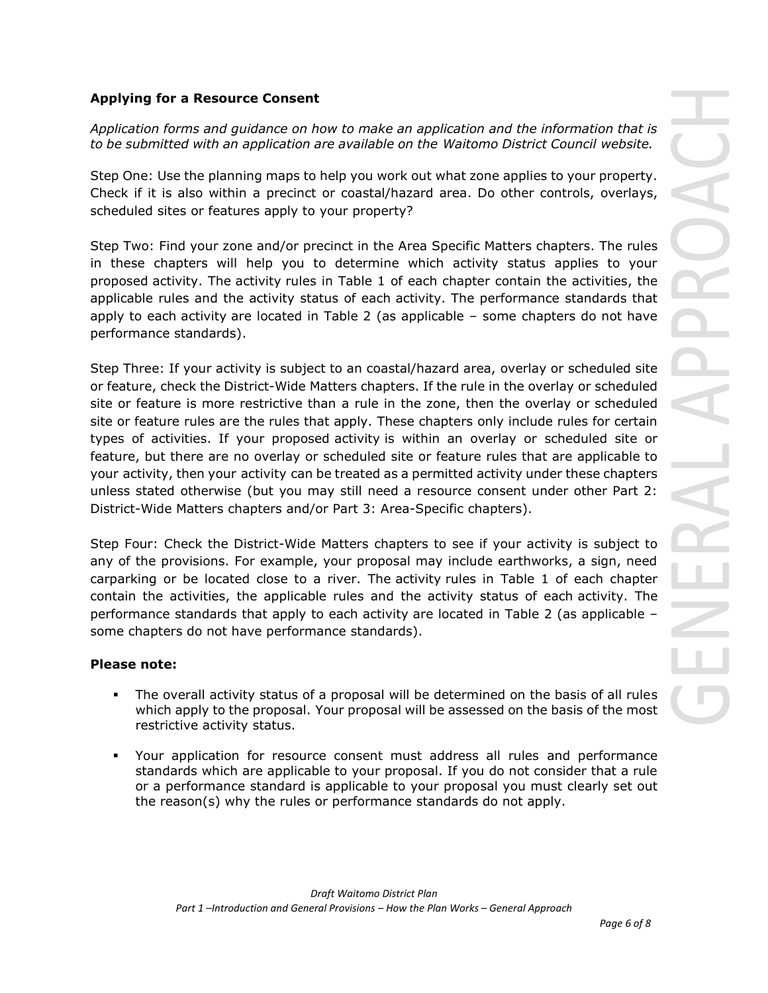## **Applying for a Resource Consent**

*Application forms and guidance on how to make an application and the information that is to be submitted with an application are available on the Waitomo District Council website.*

Step One: Use the planning maps to help you work out what zone applies to your property. Check if it is also within a precinct or coastal/hazard area. Do other controls, overlays, scheduled sites or features apply to your property?

Step Two: Find your zone and/or precinct in the Area Specific Matters chapters. The rules in these chapters will help you to determine which activity status applies to your proposed activity. The activity rules in Table 1 of each chapter contain the activities, the applicable rules and the activity status of each activity. The performance standards that apply to each activity are located in Table 2 (as applicable – some chapters do not have performance standards).

Step Three: If your activity is subject to an coastal/hazard area, overlay or scheduled site or feature, check the District-Wide Matters chapters. If the rule in the overlay or scheduled site or feature is more restrictive than a rule in the zone, then the overlay or scheduled site or feature rules are the rules that apply. These chapters only include rules for certain types of activities. If your proposed activity is within an overlay or scheduled site or feature, but there are no overlay or scheduled site or feature rules that are applicable to your activity, then your activity can be treated as a permitted activity under these chapters unless stated otherwise (but you may still need a resource consent under other Part 2: District-Wide Matters chapters and/or Part 3: Area-Specific chapters).

Step Four: Check the District-Wide Matters chapters to see if your activity is subject to any of the provisions. For example, your proposal may include earthworks, a sign, need carparking or be located close to a river. The activity rules in Table 1 of each chapter contain the activities, the applicable rules and the activity status of each activity. The performance standards that apply to each activity are located in Table 2 (as applicable – some chapters do not have performance standards).

#### **Please note:**

- The overall activity status of a proposal will be determined on the basis of all rules which apply to the proposal. Your proposal will be assessed on the basis of the most restrictive activity status.
- Your application for resource consent must address all rules and performance standards which are applicable to your proposal. If you do not consider that a rule or a performance standard is applicable to your proposal you must clearly set out the reason(s) why the rules or performance standards do not apply.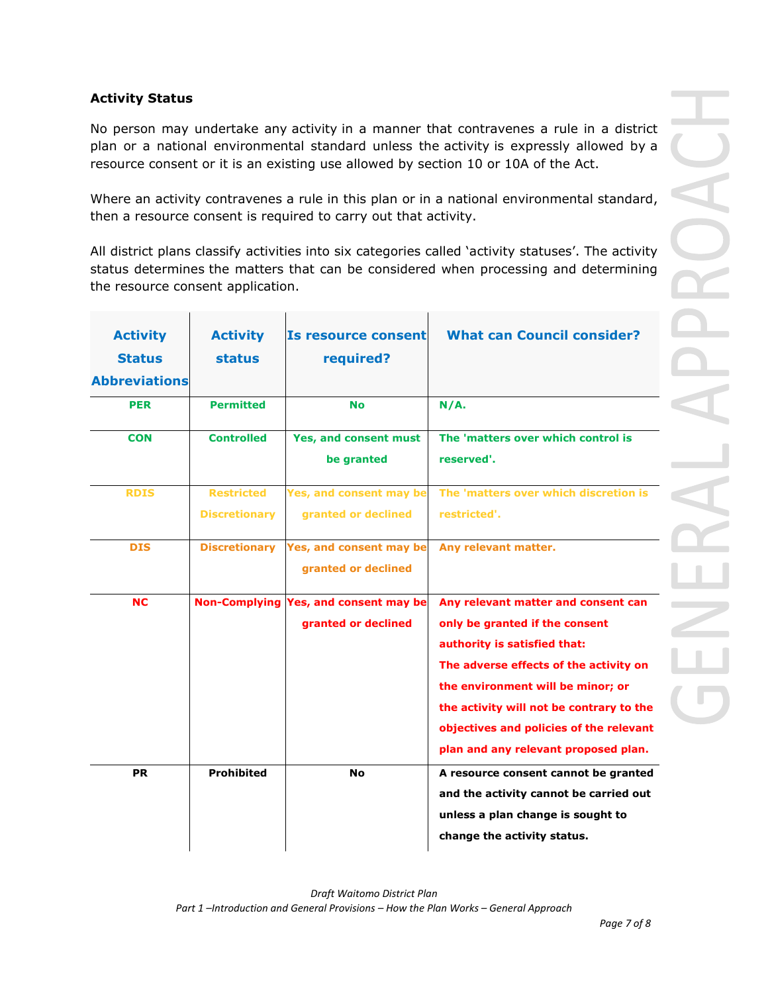## **Activity Status**

No person may undertake any activity in a manner that contravenes a rule in a district plan or a national environmental standard unless the activity is expressly allowed by a resource consent or it is an existing use allowed by section 10 or 10A of the Act.

Where an activity contravenes a rule in this plan or in a national environmental standard, then a resource consent is required to carry out that activity.

All district plans classify activities into six categories called 'activity statuses'. The activity status determines the matters that can be considered when processing and determining the resource consent application.

| <b>Activity</b><br><b>Status</b><br><b>Abbreviations</b> | <b>Activity</b><br><b>status</b>          | <b>Is resource consent</b><br>required?        | <b>What can Council consider?</b>                                                                                                                                                                                                                                                                                   |
|----------------------------------------------------------|-------------------------------------------|------------------------------------------------|---------------------------------------------------------------------------------------------------------------------------------------------------------------------------------------------------------------------------------------------------------------------------------------------------------------------|
| <b>PER</b>                                               | <b>Permitted</b>                          | <b>No</b>                                      | N/A.                                                                                                                                                                                                                                                                                                                |
| <b>CON</b>                                               | <b>Controlled</b>                         | Yes, and consent must<br>be granted            | The 'matters over which control is<br>reserved'.                                                                                                                                                                                                                                                                    |
| <b>RDIS</b>                                              | <b>Restricted</b><br><b>Discretionary</b> | Yes, and consent may be<br>granted or declined | The 'matters over which discretion is<br>restricted'.                                                                                                                                                                                                                                                               |
| <b>DIS</b>                                               | <b>Discretionary</b>                      | Yes, and consent may be<br>granted or declined | Any relevant matter.                                                                                                                                                                                                                                                                                                |
| <b>NC</b>                                                | <b>Non-Complying</b>                      | Yes, and consent may be<br>granted or declined | Any relevant matter and consent can<br>only be granted if the consent<br>authority is satisfied that:<br>The adverse effects of the activity on<br>the environment will be minor; or<br>the activity will not be contrary to the<br>objectives and policies of the relevant<br>plan and any relevant proposed plan. |
| <b>PR</b>                                                | <b>Prohibited</b>                         | No                                             | A resource consent cannot be granted<br>and the activity cannot be carried out<br>unless a plan change is sought to<br>change the activity status.                                                                                                                                                                  |